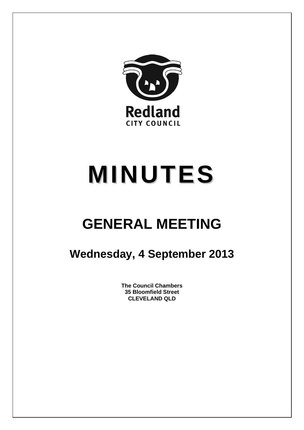

# **MINUTES**

## **GENERAL MEETING**

### **Wednesday, 4 September 2013**

**The Council Chambers 35 Bloomfield Street CLEVELAND QLD**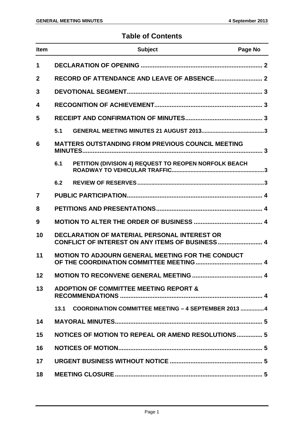#### **Table of Contents**

| <b>Item</b>    |                                                                                                         | <b>Subject</b>                                           | Page No |  |  |
|----------------|---------------------------------------------------------------------------------------------------------|----------------------------------------------------------|---------|--|--|
| 1              |                                                                                                         |                                                          |         |  |  |
| $\mathbf 2$    |                                                                                                         |                                                          |         |  |  |
| 3              |                                                                                                         |                                                          |         |  |  |
| 4              |                                                                                                         |                                                          |         |  |  |
| 5              |                                                                                                         |                                                          |         |  |  |
|                | 5.1                                                                                                     |                                                          |         |  |  |
| 6              | <b>MATTERS OUTSTANDING FROM PREVIOUS COUNCIL MEETING</b>                                                |                                                          |         |  |  |
|                | 6.1                                                                                                     | PETITION (DIVISION 4) REQUEST TO REOPEN NORFOLK BEACH    |         |  |  |
|                | 6.2                                                                                                     |                                                          |         |  |  |
| $\overline{7}$ |                                                                                                         |                                                          |         |  |  |
| 8              |                                                                                                         |                                                          |         |  |  |
| 9              |                                                                                                         |                                                          |         |  |  |
| 10             | <b>DECLARATION OF MATERIAL PERSONAL INTEREST OR</b><br>CONFLICT OF INTEREST ON ANY ITEMS OF BUSINESS  4 |                                                          |         |  |  |
| 11             |                                                                                                         | <b>MOTION TO ADJOURN GENERAL MEETING FOR THE CONDUCT</b> |         |  |  |
| 12             |                                                                                                         |                                                          |         |  |  |
| 13             | <b>ADOPTION OF COMMITTEE MEETING REPORT &amp;</b>                                                       |                                                          |         |  |  |
|                | 13.1                                                                                                    | COORDINATION COMMITTEE MEETING - 4 SEPTEMBER 2013 4      |         |  |  |
| 14             |                                                                                                         |                                                          |         |  |  |
| 15             | NOTICES OF MOTION TO REPEAL OR AMEND RESOLUTIONS 5                                                      |                                                          |         |  |  |
| 16             |                                                                                                         |                                                          |         |  |  |
| 17             |                                                                                                         |                                                          |         |  |  |
| 18             |                                                                                                         |                                                          |         |  |  |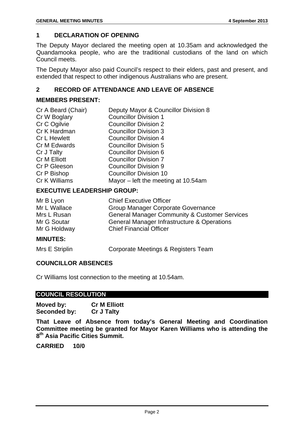#### **1 DECLARATION OF OPENING**

The Deputy Mayor declared the meeting open at 10.35am and acknowledged the Quandamooka people, who are the traditional custodians of the land on which Council meets.

The Deputy Mayor also paid Council's respect to their elders, past and present, and extended that respect to other indigenous Australians who are present.

#### **2 RECORD OF ATTENDANCE AND LEAVE OF ABSENCE**

#### **MEMBERS PRESENT:**

| Deputy Mayor & Councillor Division 8 |
|--------------------------------------|
| <b>Councillor Division 1</b>         |
| <b>Councillor Division 2</b>         |
| <b>Councillor Division 3</b>         |
| <b>Councillor Division 4</b>         |
| <b>Councillor Division 5</b>         |
| <b>Councillor Division 6</b>         |
| <b>Councillor Division 7</b>         |
| <b>Councillor Division 9</b>         |
| <b>Councillor Division 10</b>        |
| Mayor – left the meeting at 10.54am  |
|                                      |

#### **EXECUTIVE LEADERSHIP GROUP:**

| Mr G Holdway | <b>Chief Financial Officer</b>                           |
|--------------|----------------------------------------------------------|
| Mr G Soutar  | General Manager Infrastructure & Operations              |
| Mrs L Rusan  | <b>General Manager Community &amp; Customer Services</b> |
| Mr L Wallace | Group Manager Corporate Governance                       |
| Mr B Lyon    | <b>Chief Executive Officer</b>                           |

#### **MINUTES:**

| Mrs E Striplin | Corporate Meetings & Registers Team |
|----------------|-------------------------------------|
|----------------|-------------------------------------|

#### **COUNCILLOR ABSENCES**

Cr Williams lost connection to the meeting at 10.54am.

#### **COUNCIL RESOLUTION**

| Moved by:    | <b>Cr M Elliott</b> |
|--------------|---------------------|
| Seconded by: | <b>Cr J Talty</b>   |

**That Leave of Absence from today's General Meeting and Coordination Committee meeting be granted for Mayor Karen Williams who is attending the 8th Asia Pacific Cities Summit.** 

**CARRIED 10/0**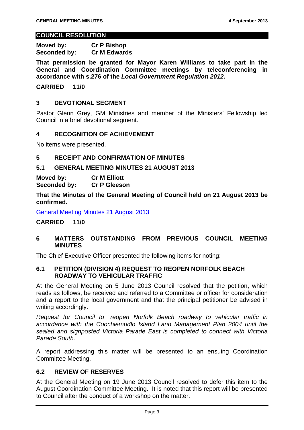#### **COUNCIL RESOLUTION**

**Moved by: Cr P Bishop Seconded by: Cr M Edwards** 

**That permission be granted for Mayor Karen Williams to take part in the General and Coordination Committee meetings by teleconferencing in accordance with s.276 of the** *Local Government Regulation 2012***.** 

#### **CARRIED 11/0**

#### **3 DEVOTIONAL SEGMENT**

Pastor Glenn Grey, GM Ministries and member of the Ministers' Fellowship led Council in a brief devotional segment.

#### **4 RECOGNITION OF ACHIEVEMENT**

No items were presented.

#### **5 RECEIPT AND CONFIRMATION OF MINUTES**

#### **5.1 GENERAL MEETING MINUTES 21 AUGUST 2013**

**Moved by: Cr M Elliott Seconded by: Cr P Gleeson** 

**That the Minutes of the General Meeting of Council held on 21 August 2013 be confirmed.** 

General Meeting Minutes 21 August 2013

#### **CARRIED 11/0**

#### **6 MATTERS OUTSTANDING FROM PREVIOUS COUNCIL MEETING MINUTES**

The Chief Executive Officer presented the following items for noting:

#### **6.1 PETITION (DIVISION 4) REQUEST TO REOPEN NORFOLK BEACH ROADWAY TO VEHICULAR TRAFFIC**

At the General Meeting on 5 June 2013 Council resolved that the petition, which reads as follows, be received and referred to a Committee or officer for consideration and a report to the local government and that the principal petitioner be advised in writing accordingly.

*Request for Council to "reopen Norfolk Beach roadway to vehicular traffic in accordance with the Coochiemudlo Island Land Management Plan 2004 until the sealed and signposted Victoria Parade East is completed to connect with Victoria Parade South.* 

A report addressing this matter will be presented to an ensuing Coordination Committee Meeting.

#### **6.2 REVIEW OF RESERVES**

At the General Meeting on 19 June 2013 Council resolved to defer this item to the August Coordination Committee Meeting. It is noted that this report will be presented to Council after the conduct of a workshop on the matter.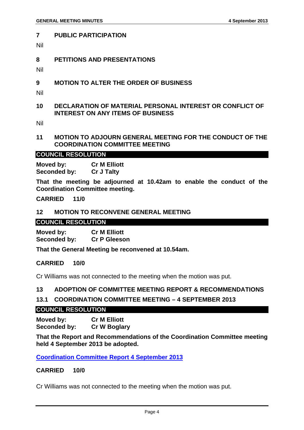#### **7 PUBLIC PARTICIPATION**

Nil

#### **8 PETITIONS AND PRESENTATIONS**

Nil

- **9 MOTION TO ALTER THE ORDER OF BUSINESS**
- Nil
- **10 DECLARATION OF MATERIAL PERSONAL INTEREST OR CONFLICT OF INTEREST ON ANY ITEMS OF BUSINESS**

Nil

#### **11 MOTION TO ADJOURN GENERAL MEETING FOR THE CONDUCT OF THE COORDINATION COMMITTEE MEETING**

#### **COUNCIL RESOLUTION**

**Moved by: Cr M Elliott Seconded by: Cr J Talty** 

**That the meeting be adjourned at 10.42am to enable the conduct of the Coordination Committee meeting.** 

#### **CARRIED 11/0**

#### **12 MOTION TO RECONVENE GENERAL MEETING**

#### **COUNCIL RESOLUTION**

**Moved by: Cr M Elliott Seconded by: Cr P Gleeson** 

**That the General Meeting be reconvened at 10.54am.** 

#### **CARRIED 10/0**

Cr Williams was not connected to the meeting when the motion was put.

#### **13 ADOPTION OF COMMITTEE MEETING REPORT & RECOMMENDATIONS**

#### **13.1 COORDINATION COMMITTEE MEETING – 4 SEPTEMBER 2013**

#### **COUNCIL RESOLUTION**

**Moved by: Cr M Elliott Seconded by: Cr W Boglary** 

**That the Report and Recommendations of the Coordination Committee meeting held 4 September 2013 be adopted.** 

**Coordination Committee Report 4 September 2013**

#### **CARRIED 10/0**

Cr Williams was not connected to the meeting when the motion was put.